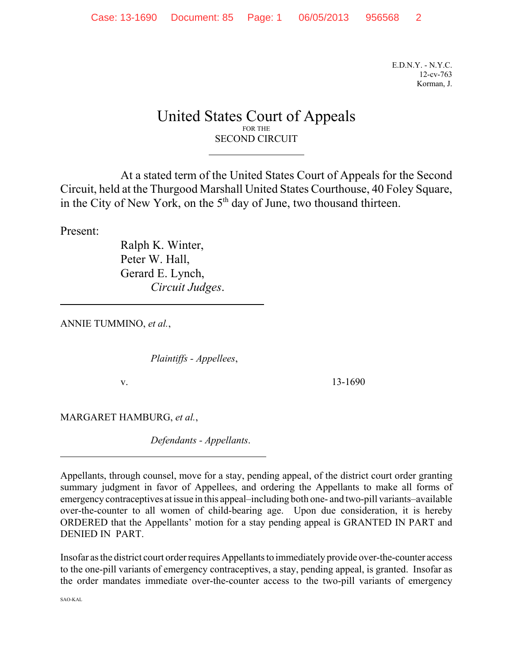E.D.N.Y. - N.Y.C. 12-cv-763 Korman, J.

## United States Court of Appeals FOR THE SECOND CIRCUIT

 $\overline{a}$ 

At a stated term of the United States Court of Appeals for the Second Circuit, held at the Thurgood Marshall United States Courthouse, 40 Foley Square, in the City of New York, on the  $5<sup>th</sup>$  day of June, two thousand thirteen.

Present:

 $\overline{a}$ 

 $\overline{a}$ 

Ralph K. Winter, Peter W. Hall, Gerard E. Lynch, *Circuit Judges*.

ANNIE TUMMINO, *et al.*,

*Plaintiffs - Appellees*,

v. 13-1690

MARGARET HAMBURG, *et al.*,

*Defendants - Appellants*.

Appellants, through counsel, move for a stay, pending appeal, of the district court order granting summary judgment in favor of Appellees, and ordering the Appellants to make all forms of emergency contraceptives at issue in this appeal–including both one- and two-pill variants–available over-the-counter to all women of child-bearing age. Upon due consideration, it is hereby ORDERED that the Appellants' motion for a stay pending appeal is GRANTED IN PART and DENIED IN PART.

Insofar as the district court order requires Appellants to immediately provide over-the-counter access to the one-pill variants of emergency contraceptives, a stay, pending appeal, is granted. Insofar as the order mandates immediate over-the-counter access to the two-pill variants of emergency

SAO-KAL